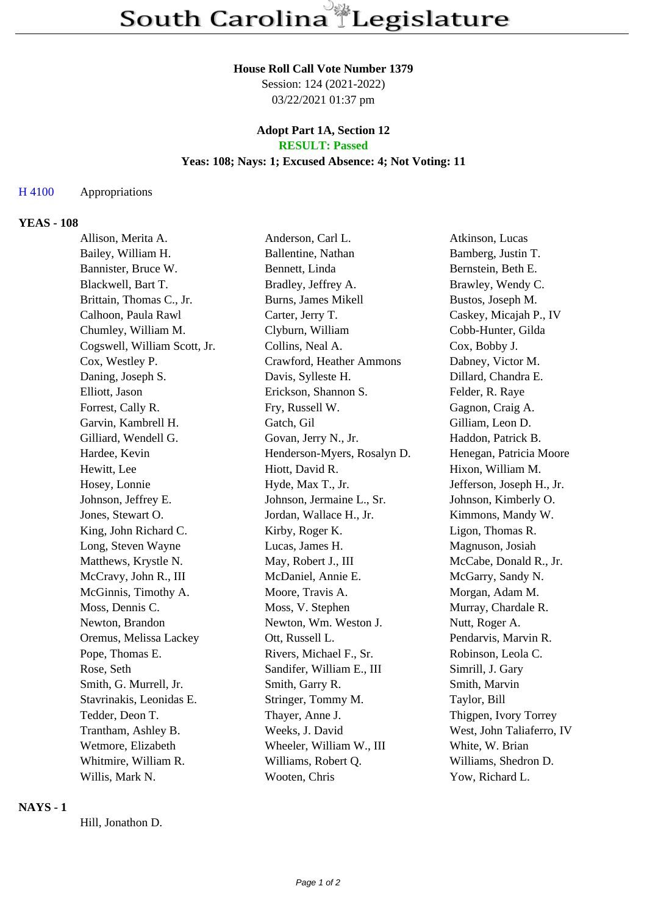## **House Roll Call Vote Number 1379**

Session: 124 (2021-2022) 03/22/2021 01:37 pm

#### **Adopt Part 1A, Section 12 RESULT: Passed**

### **Yeas: 108; Nays: 1; Excused Absence: 4; Not Voting: 11**

### H 4100 Appropriations

# **YEAS - 108**

| Allison, Merita A.           | Anderson, Carl L.           | Atkinson, Lucas           |
|------------------------------|-----------------------------|---------------------------|
| Bailey, William H.           | Ballentine, Nathan          | Bamberg, Justin T.        |
| Bannister, Bruce W.          | Bennett, Linda              | Bernstein, Beth E.        |
| Blackwell, Bart T.           | Bradley, Jeffrey A.         | Brawley, Wendy C.         |
| Brittain, Thomas C., Jr.     | Burns, James Mikell         | Bustos, Joseph M.         |
| Calhoon, Paula Rawl          | Carter, Jerry T.            | Caskey, Micajah P., IV    |
| Chumley, William M.          | Clyburn, William            | Cobb-Hunter, Gilda        |
| Cogswell, William Scott, Jr. | Collins, Neal A.            | Cox, Bobby J.             |
| Cox, Westley P.              | Crawford, Heather Ammons    | Dabney, Victor M.         |
| Daning, Joseph S.            | Davis, Sylleste H.          | Dillard, Chandra E.       |
| Elliott, Jason               | Erickson, Shannon S.        | Felder, R. Raye           |
| Forrest, Cally R.            | Fry, Russell W.             | Gagnon, Craig A.          |
| Garvin, Kambrell H.          | Gatch, Gil                  | Gilliam, Leon D.          |
| Gilliard, Wendell G.         | Govan, Jerry N., Jr.        | Haddon, Patrick B.        |
| Hardee, Kevin                | Henderson-Myers, Rosalyn D. | Henegan, Patricia Moore   |
| Hewitt, Lee                  | Hiott, David R.             | Hixon, William M.         |
| Hosey, Lonnie                | Hyde, Max T., Jr.           | Jefferson, Joseph H., Jr. |
| Johnson, Jeffrey E.          | Johnson, Jermaine L., Sr.   | Johnson, Kimberly O.      |
| Jones, Stewart O.            | Jordan, Wallace H., Jr.     | Kimmons, Mandy W.         |
| King, John Richard C.        | Kirby, Roger K.             | Ligon, Thomas R.          |
| Long, Steven Wayne           | Lucas, James H.             | Magnuson, Josiah          |
| Matthews, Krystle N.         | May, Robert J., III         | McCabe, Donald R., Jr.    |
| McCravy, John R., III        | McDaniel, Annie E.          | McGarry, Sandy N.         |
| McGinnis, Timothy A.         | Moore, Travis A.            | Morgan, Adam M.           |
| Moss, Dennis C.              | Moss, V. Stephen            | Murray, Chardale R.       |
| Newton, Brandon              | Newton, Wm. Weston J.       | Nutt, Roger A.            |
| Oremus, Melissa Lackey       | Ott, Russell L.             | Pendarvis, Marvin R.      |
| Pope, Thomas E.              | Rivers, Michael F., Sr.     | Robinson, Leola C.        |
| Rose, Seth                   | Sandifer, William E., III   | Simrill, J. Gary          |
| Smith, G. Murrell, Jr.       | Smith, Garry R.             | Smith, Marvin             |
| Stavrinakis, Leonidas E.     | Stringer, Tommy M.          | Taylor, Bill              |
| Tedder, Deon T.              | Thayer, Anne J.             | Thigpen, Ivory Torrey     |
| Trantham, Ashley B.          | Weeks, J. David             | West, John Taliaferro, IV |
| Wetmore, Elizabeth           | Wheeler, William W., III    | White, W. Brian           |
| Whitmire, William R.         | Williams, Robert Q.         | Williams, Shedron D.      |
| Willis, Mark N.              | Wooten, Chris               | Yow, Richard L.           |
|                              |                             |                           |

### **NAYS - 1**

Hill, Jonathon D.